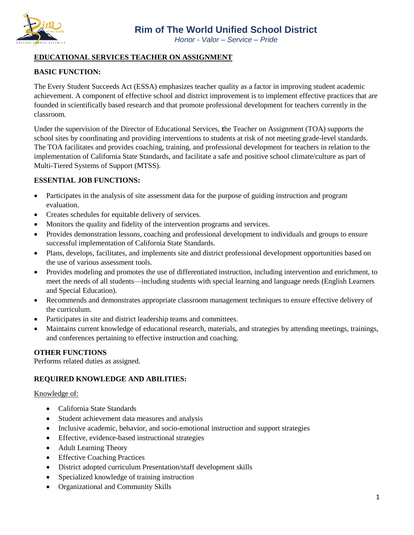

*Honor - Valor – Service – Pride*

## **EDUCATIONAL SERVICES TEACHER ON ASSIGNMENT**

## **BASIC FUNCTION:**

The Every Student Succeeds Act (ESSA) emphasizes teacher quality as a factor in improving student academic achievement. A component of effective school and district improvement is to implement effective practices that are founded in scientifically based research and that promote professional development for teachers currently in the classroom.

Under the supervision of the Director of Educational Services, **t**he Teacher on Assignment (TOA) supports the school sites by coordinating and providing interventions to students at risk of not meeting grade-level standards. The TOA facilitates and provides coaching, training, and professional development for teachers in relation to the implementation of California State Standards, and facilitate a safe and positive school climate/culture as part of Multi-Tiered Systems of Support (MTSS).

### **ESSENTIAL JOB FUNCTIONS:**

- Participates in the analysis of site assessment data for the purpose of guiding instruction and program evaluation.
- Creates schedules for equitable delivery of services.
- Monitors the quality and fidelity of the intervention programs and services.
- Provides demonstration lessons, coaching and professional development to individuals and groups to ensure successful implementation of California State Standards.
- Plans, develops, facilitates, and implements site and district professional development opportunities based on the use of various assessment tools.
- Provides modeling and promotes the use of differentiated instruction, including intervention and enrichment, to meet the needs of all students—including students with special learning and language needs (English Learners and Special Education).
- Recommends and demonstrates appropriate classroom management techniques to ensure effective delivery of the curriculum.
- Participates in site and district leadership teams and committees.
- Maintains current knowledge of educational research, materials, and strategies by attending meetings, trainings, and conferences pertaining to effective instruction and coaching.

### **OTHER FUNCTIONS**

Performs related duties as assigned.

### **REQUIRED KNOWLEDGE AND ABILITIES:**

### Knowledge of:

- California State Standards
- Student achievement data measures and analysis
- Inclusive academic, behavior, and socio-emotional instruction and support strategies
- Effective, evidence-based instructional strategies
- Adult Learning Theory
- Effective Coaching Practices
- District adopted curriculum Presentation/staff development skills
- Specialized knowledge of training instruction
- Organizational and Community Skills